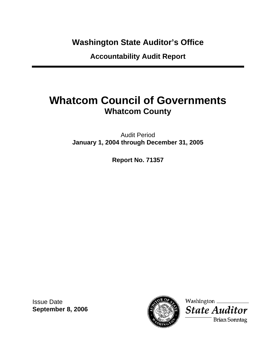**Washington State Auditor's Office** 

**Accountability Audit Report** 

# **Whatcom Council of Governments Whatcom County**

Audit Period **January 1, 2004 through December 31, 2005** 

**Report No. 71357** 

Issue Date **September 8, 2006** 



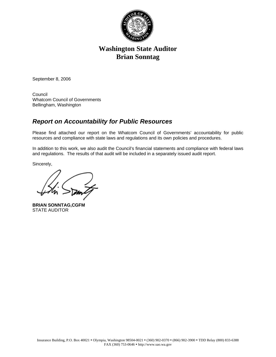

# **Washington State Auditor Brian Sonntag**

September 8, 2006

Council Whatcom Council of Governments Bellingham, Washington

# *Report on Accountability for Public Resources*

Please find attached our report on the Whatcom Council of Governments' accountability for public resources and compliance with state laws and regulations and its own policies and procedures.

In addition to this work, we also audit the Council's financial statements and compliance with federal laws and regulations. The results of that audit will be included in a separately issued audit report.

Sincerely,

**BRIAN SONNTAG,CGFM**  STATE AUDITOR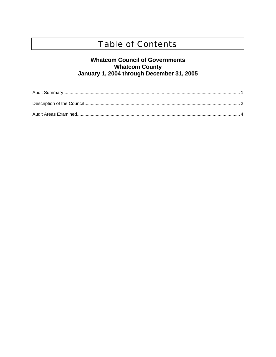# **Table of Contents**

# **Whatcom Council of Governments** Vhatcom County<br>January 1, 2004 through December 31, 2005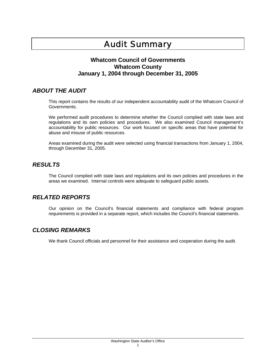# Audit Summary

#### **Whatcom Council of Governments Whatcom County January 1, 2004 through December 31, 2005**

### *ABOUT THE AUDIT*

This report contains the results of our independent accountability audit of the Whatcom Council of Governments.

We performed audit procedures to determine whether the Council complied with state laws and regulations and its own policies and procedures. We also examined Council management's accountability for public resources. Our work focused on specific areas that have potential for abuse and misuse of public resources.

Areas examined during the audit were selected using financial transactions from January 1, 2004, through December 31, 2005.

### *RESULTS*

The Council complied with state laws and regulations and its own policies and procedures in the areas we examined. Internal controls were adequate to safeguard public assets.

#### *RELATED REPORTS*

Our opinion on the Council's financial statements and compliance with federal program requirements is provided in a separate report, which includes the Council's financial statements.

## *CLOSING REMARKS*

We thank Council officials and personnel for their assistance and cooperation during the audit.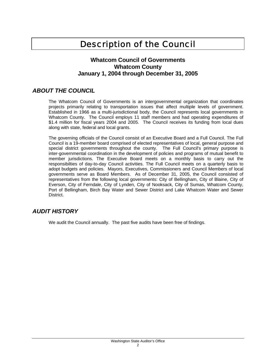# Description of the Council

#### **Whatcom Council of Governments Whatcom County January 1, 2004 through December 31, 2005**

### *ABOUT THE COUNCIL*

The Whatcom Council of Governments is an intergovernmental organization that coordinates projects primarily relating to transportation issues that affect multiple levels of government. Established in 1966 as a multi-jurisdictional body, the Council represents local governments in Whatcom County. The Council employs 11 staff members and had operating expenditures of \$1.4 million for fiscal years 2004 and 2005. The Council receives its funding from local dues along with state, federal and local grants.

The governing officials of the Council consist of an Executive Board and a Full Council. The Full Council is a 19-member board comprised of elected representatives of local, general purpose and special district governments throughout the county. The Full Council's primary purpose is inter-governmental coordination in the development of policies and programs of mutual benefit to member jurisdictions. The Executive Board meets on a monthly basis to carry out the responsibilties of day-to-day Council activities. The Full Council meets on a quarterly basis to adopt budgets and policies. Mayors, Executives, Commissioners and Council Members of local governments serve as Board Members. As of December 31, 2005, the Council consisted of representatives from the following local governments: City of Bellingham, City of Blaine, City of Everson, City of Ferndale, City of Lynden, City of Nooksack, City of Sumas, Whatcom County, Port of Bellingham, Birch Bay Water and Sewer District and Lake Whatcom Water and Sewer **District** 

## *AUDIT HISTORY*

We audit the Council annually. The past five audits have been free of findings.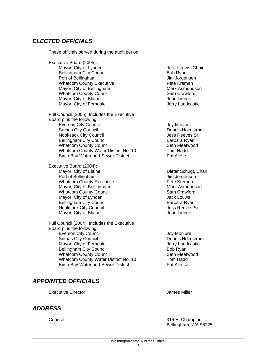## *ELECTED OFFICIALS*

These officials served during the audit period:

Executive Board (2005): Mayor, City of Lynden Bellingham City Council Port of Bellingham Whatcom County Executive Mayor, City of Bellingham Whatcom County Council Mayor, City of Blaine Mayor, City of Ferndale Full Council (2005): Includes the Executive Board plus the following: Everson City Council Sumas City Council Nooksack City Council Bellingham City Council Whatcom County Council Whatcom County Water District No. 10 Birch Bay Water and Sewer District Executive Board (2004):

Mayor, City of Blaine Port of Bellingham Whatcom County Executive Mayor, City of Bellingham Whatcom County Council Mayor, City of Lynden Bellingham City Council Nooksack City Council Mayor, City of Blaine

Full Council (2004): Includes the Executive Board plus the following: Everson City Council Sumas City Council Mayor, City of Ferndale Bellingham City Council Whatcom County Council Whatcom County Water District No. 10 Birch Bay Water and Sewer District

## *APPOINTED OFFICIALS*

Executive Director **Contracts** Contracts and Tames Miller

#### *ADDRESS*

Jack Louws, Chair Bob Ryan Jim Jorgensen Pete Kremen Mark Asmundson Sam Crawford John Liebert Jerry Landcastle

Joy Monjure Dennis Holmstrom Jess Reeves Sr. Barbara Ryan Seth Fleetwood Tom Hadd Pat Alese

Dieter Schugt, Chair Jim Jorgensen Pete Kremen Mark Asmundson Sam Crawford Jack Louws Barbara Ryan Jess Reeves Sr. John Liebert

Joy Monjure Dennis Holmstrom Jerry Landcastle Bob Ryan Seth Fleetwood Tom Hadd Pat Alesse

Council 314 E. Champion Bellingham, WA 98225